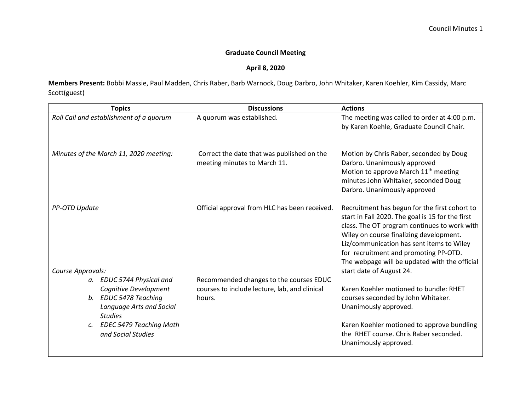## **Graduate Council Meeting**

## **April 8, 2020**

**Members Present:** Bobbi Massie, Paul Madden, Chris Raber, Barb Warnock, Doug Darbro, John Whitaker, Karen Koehler, Kim Cassidy, Marc Scott(guest)

| <b>Topics</b>                                                                                                                                                                                      | <b>Discussions</b>                                                                                 | <b>Actions</b>                                                                                                                                                                                                                                                                                                                                                  |
|----------------------------------------------------------------------------------------------------------------------------------------------------------------------------------------------------|----------------------------------------------------------------------------------------------------|-----------------------------------------------------------------------------------------------------------------------------------------------------------------------------------------------------------------------------------------------------------------------------------------------------------------------------------------------------------------|
| Roll Call and establishment of a quorum                                                                                                                                                            | A quorum was established.                                                                          | The meeting was called to order at 4:00 p.m.<br>by Karen Koehle, Graduate Council Chair.                                                                                                                                                                                                                                                                        |
| Minutes of the March 11, 2020 meeting:                                                                                                                                                             | Correct the date that was published on the<br>meeting minutes to March 11.                         | Motion by Chris Raber, seconded by Doug<br>Darbro. Unanimously approved<br>Motion to approve March 11 <sup>th</sup> meeting<br>minutes John Whitaker, seconded Doug<br>Darbro. Unanimously approved                                                                                                                                                             |
| PP-OTD Update                                                                                                                                                                                      | Official approval from HLC has been received.                                                      | Recruitment has begun for the first cohort to<br>start in Fall 2020. The goal is 15 for the first<br>class. The OT program continues to work with<br>Wiley on course finalizing development.<br>Liz/communication has sent items to Wiley<br>for recruitment and promoting PP-OTD.<br>The webpage will be updated with the official<br>start date of August 24. |
| Course Approvals:<br>a. EDUC 5744 Physical and<br>Cognitive Development<br>b. EDUC 5478 Teaching<br>Language Arts and Social<br><b>Studies</b><br>c. EDEC 5479 Teaching Math<br>and Social Studies | Recommended changes to the courses EDUC<br>courses to include lecture, lab, and clinical<br>hours. | Karen Koehler motioned to bundle: RHET<br>courses seconded by John Whitaker.<br>Unanimously approved.<br>Karen Koehler motioned to approve bundling<br>the RHET course. Chris Raber seconded.<br>Unanimously approved.                                                                                                                                          |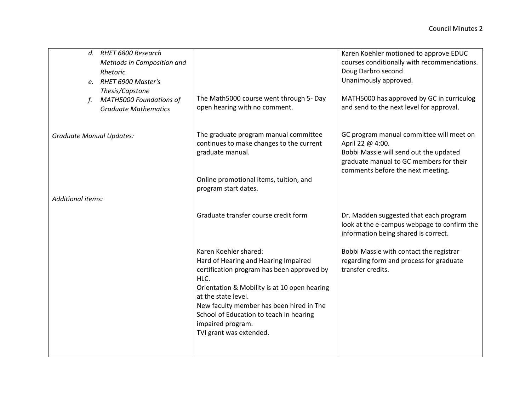| d. RHET 6800 Research<br>Methods in Composition and<br>Rhetoric<br>e. RHET 6900 Master's<br>Thesis/Capstone<br><b>MATH5000 Foundations of</b><br><b>Graduate Mathematics</b> | The Math5000 course went through 5- Day<br>open hearing with no comment.                                                                                                                                                                                                                                                          | Karen Koehler motioned to approve EDUC<br>courses conditionally with recommendations.<br>Doug Darbro second<br>Unanimously approved.<br>MATH5000 has approved by GC in curriculog<br>and send to the next level for approval. |
|------------------------------------------------------------------------------------------------------------------------------------------------------------------------------|-----------------------------------------------------------------------------------------------------------------------------------------------------------------------------------------------------------------------------------------------------------------------------------------------------------------------------------|-------------------------------------------------------------------------------------------------------------------------------------------------------------------------------------------------------------------------------|
| <b>Graduate Manual Updates:</b>                                                                                                                                              | The graduate program manual committee<br>continues to make changes to the current<br>graduate manual.<br>Online promotional items, tuition, and<br>program start dates.                                                                                                                                                           | GC program manual committee will meet on<br>April 22 @ 4:00.<br>Bobbi Massie will send out the updated<br>graduate manual to GC members for their<br>comments before the next meeting.                                        |
| Additional items:                                                                                                                                                            | Graduate transfer course credit form                                                                                                                                                                                                                                                                                              | Dr. Madden suggested that each program<br>look at the e-campus webpage to confirm the<br>information being shared is correct.                                                                                                 |
|                                                                                                                                                                              | Karen Koehler shared:<br>Hard of Hearing and Hearing Impaired<br>certification program has been approved by<br>HLC.<br>Orientation & Mobility is at 10 open hearing<br>at the state level.<br>New faculty member has been hired in The<br>School of Education to teach in hearing<br>impaired program.<br>TVI grant was extended. | Bobbi Massie with contact the registrar<br>regarding form and process for graduate<br>transfer credits.                                                                                                                       |